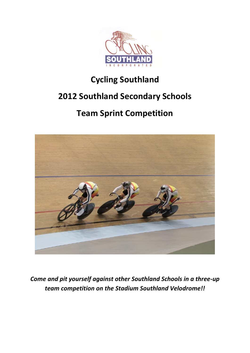

# **Cycling Southland**

## **2012 Southland Secondary Schools**

# **Team Sprint Competition**



*Come and pit yourself against other Southland Schools in a three-up team competition on the Stadium Southland Velodrome!!*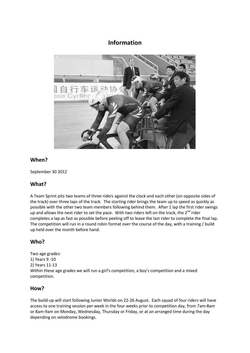### **Information**



#### **When?**

September 30 2012

#### **What?**

A Team Sprint pits two teams of three riders against the clock and each other (on opposite sides of the track) over three laps of the track. The starting rider brings the team up to speed as quickly as possible with the other two team members following behind them. After 1 lap the first rider swings up and allows the next rider to set the pace. With two riders left on the track, the  $2^{nd}$  rider completes a lap as fast as possible before peeling off to leave the last rider to complete the final lap. The competition will run in a round robin format over the course of the day, with a training / build up held over the month before hand.

#### **Who?**

Two age grades: 1) Years 9 -10 2) Years 11-13 Within these age grades we will run a girl's competition, a boy's competition and a mixed competition.

#### **How?**

The build-up will start following Junior Worlds on 22-26 August. Each squad of four riders will have access to one training session per week in the four weeks prior to competition day, from 7am-8am or 8am-9am on Monday, Wednesday, Thursday or Friday, or at an arranged time during the day depending on velodrome bookings.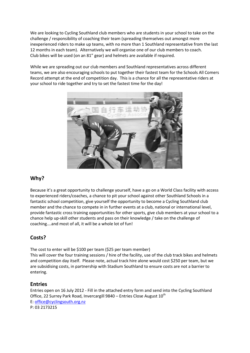We are looking to Cycling Southland club members who are students in your school to take on the challenge / responsibility of coaching their team (spreading themselves out amongst more inexperienced riders to make up teams, with no more than 1 Southland representative from the last 12 months in each team). Alternatively we will organise one of our club members to coach. Club bikes will be used (on an 81" gear) and helmets are available if required.

While we are spreading out our club members and Southland representatives across different teams, we are also encouraging schools to put together their fastest team for the Schools All Comers Record attempt at the end of competition day. This is a chance for all the representative riders at your school to ride together and try to set the fastest time for the day!



#### **Why?**

Because it's a great opportunity to challenge yourself, have a go on a World Class facility with access to experienced riders/coaches, a chance to pit your school against other Southland Schools in a fantastic school competition, give yourself the opportunity to become a Cycling Southland club member and the chance to compete in in further events at a club, national or international level, provide fantastic cross training opportunities for other sports, give club members at your school to a chance help up-skill other students and pass on their knowledge / take on the challenge of coaching….and most of all, it will be a whole lot of fun!

### **Costs?**

The cost to enter will be \$100 per team (\$25 per team member)

This will cover the four training sessions / hire of the facility, use of the club track bikes and helmets and competition day itself. Please note, actual track hire alone would cost \$250 per team, but we are subsidising costs, in partnership with Stadium Southland to ensure costs are not a barrier to entering.

#### **Entries**

Entries open on 16 July 2012 - Fill in the attached entry form and send into the Cycling Southland Office, 22 Surrey Park Road, Invercargill 9840 – Entries Close August  $10^{th}$ E: [office@cyclingsouth.org.nz](mailto:office@cyclingsouth.org.nz) P: 03 2173215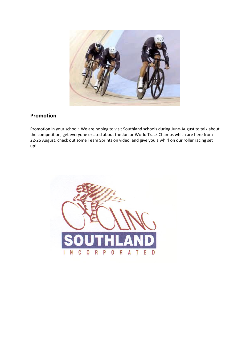

### **Promotion**

Promotion in your school: We are hoping to visit Southland schools during June-August to talk about the competition, get everyone excited about the Junior World Track Champs which are here from 22-26 August, check out some Team Sprints on video, and give you a whirl on our roller racing set up!

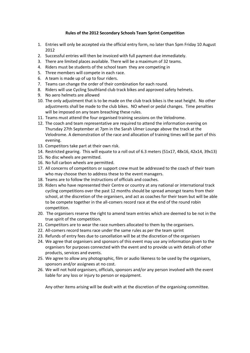#### **Rules of the 2012 Secondary Schools Team Sprint Competition**

- 1. Entries will only be accepted via the official entry form, no later than 5pm Friday 10 August 2012
- 2. Successful entries will then be invoiced with full payment due immediately.
- 3. There are limited places available. There will be a maximum of 32 teams.
- 4. Riders must be students of the school team they are competing in
- 5. Three members will compete in each race.
- 6. A team is made up of up to four riders.
- 7. Teams can change the order of their combination for each round.
- 8. Riders will use Cycling Southland club track bikes and approved safety helmets.
- 9. No aero helmets are allowed
- 10. The only adjustment that is to be made on the club track bikes is the seat height. No other adjustments shall be made to the club bikes. NO wheel or pedal changes. Time penalties will be imposed on any team breaching these rules.
- 11. Teams must attend the four organised training sessions on the Velodrome.
- 12. The coach and team representative are required to attend the information evening on Thursday 27th September at 7pm in the Sarah Ulmer Lounge above the track at the Velodrome. A demonstration of the race and allocation of training times will be part of this evening.
- 13. Competitors take part at their own risk.
- 14. Restricted gearing. This will equate to a roll out of 6.3 meters (51x17, 48x16, 42x14, 39x13)
- 15. No disc wheels are permitted.
- 16. No full carbon wheels are permitted.
- 17. All concerns of competitors or support crew must be addressed to the coach of their team who may choose then to address these to the event managers.
- 18. Teams are to follow the instructions of officials and coaches.
- 19. Riders who have represented their Centre or country at any national or international track cycling competitions over the past 12 months should be spread amongst teams from their school, at the discretion of the organisers, and act as coaches for their team but will be able to be compete together in the all-comers record race at the end of the round robin competition.
- 20. The organisers reserve the right to amend team entries which are deemed to be not in the true spirit of the competition.
- 21. Competitors are to wear the race numbers allocated to them by the organisers.
- 22. All-comers record teams race under the same rules as per the team sprint
- 23. Refunds of entry fees due to cancellation will be at the discretion of the organisers
- 24. We agree that organisers and sponsors of this event may use any information given to the organisers for purposes connected with the event and to provide us with details of other products, services and events.
- 25. We agree to allow any photographic, film or audio likeness to be used by the organisers, sponsors and/or assignees at no cost.
- 26. We will not hold organisers, officials, sponsors and/or any person involved with the event liable for any loss or injury to person or equipment.

Any other items arising will be dealt with at the discretion of the organising committee.